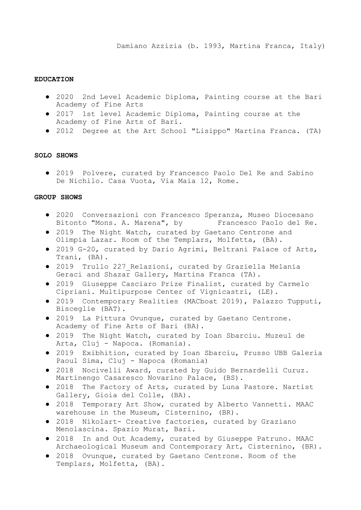## **EDUCATION**

- 2020 2nd Level Academic Diploma, Painting course at the Bari Academy of Fine Arts
- 2017 1st level Academic Diploma, Painting course at the Academy of Fine Arts of Bari.
- 2012 Degree at the Art School "Lisippo" Martina Franca. (TA)

## **SOLO SHOWS**

● 2019 Polvere, curated by Francesco Paolo Del Re and Sabino De Nichilo. Casa Vuota, Via Maia 12, Rome.

## **GROUP SHOWS**

- 2020 Conversazioni con Francesco Speranza, Museo Diocesano Bitonto "Mons. A. Marena", by Francesco Paolo del Re.
- 2019 The Night Watch, curated by Gaetano Centrone and Olimpia Lazar. Room of the Templars, Molfetta, (BA).
- 2019 G-20, curated by Dario Agrimi, Beltrani Palace of Arts, Trani, (BA).
- 2019 Trullo 227\_Relazioni, curated by Graziella Melania Geraci and Shazar Gallery, Martina Franca (TA).
- 2019 Giuseppe Casciaro Prize Finalist, curated by Carmelo Cipriani. Multipurpose Center of Vignicastri, (LE).
- 2019 Contemporary Realities (MACboat 2019), Palazzo Tupputi, Bisceglie (BAT).
- 2019 La Pittura Ovunque, curated by Gaetano Centrone. Academy of Fine Arts of Bari (BA).
- 2019 The Night Watch, curated by Ioan Sbarciu. Muzeul de Arta, Cluj - Napoca. (Romania).
- 2019 Exibhition, curated by Ioan Sbarciu, Prusso UBB Galeria Paoul Sima, Cluj - Napoca (Romania)
- 2018 Nocivelli Award, curated by Guido Bernardelli Curuz. Martinengo Casaresco Novarino Palace, (BS).
- 2018 The Factory of Arts, curated by Luna Pastore. Nartist Gallery, Gioia del Colle, (BA).
- 2018 Temporary Art Show, curated by Alberto Vannetti. MAAC warehouse in the Museum, Cisternino, (BR).
- 2018 Nikolart- Creative factories, curated by Graziano Menolascina. Spazio Murat, Bari.
- 2018 In and Out Academy, curated by Giuseppe Patruno. MAAC Archaeological Museum and Contemporary Art, Cisternino, (BR).
- 2018 Ovunque, curated by Gaetano Centrone. Room of the Templars, Molfetta, (BA).